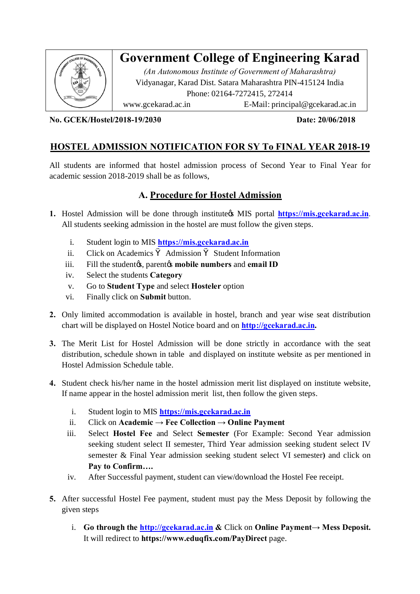

**No. GCEK/Hostel/2018-19/2030 Date: 20/06/2018**

## **HOSTEL ADMISSION NOTIFICATION FOR SY To FINAL YEAR 2018-19**

All students are informed that hostel admission process of Second Year to Final Year for academic session 2018-2019 shall be as follows,

# **A. Procedure for Hostel Admission**

- **1.** Hostel Admission will be done through institute MIS portal **https://mis.gcekarad.ac.in**. All students seeking admissio[n in the hostel are must](https://mis.gcekarad.ac.in/) follow the given steps.
	- i. Student login to MIS **https://mis.gcekarad.ac.in**
	- ii. Click on Academics Admission Student Information
	- iii. Fill the student<sub>*i*</sub>s, parent<sub>*i*</sub>s mobile numbers and email ID
	- iv. Select the students **Category**
	- v. Go to **Student Type** and select **Hosteler** option
	- vi. Finally click on **Submit** button.
- **2.** Only limited accommodation is available in hostel, bra[nch and year wise seat](http://gcekarad.ac.in/) distribution chart will be displayed on Hostel Notice board and on **http://gcekarad.ac.in.**
- **3.** The Merit List for Hostel Admission will be done strictly in accordance with the seat distribution, schedule shown in table and displayed on institute website as per mentioned in Hostel Admission Schedule table.
- **4.** Student check his/her name in the hostel admission merit list displayed on institute website, If name appear in the hostel ad[mission merit list,](https://mis.gcekarad.ac.in/) then follow the given steps.
	- i. Student login to MIS **https://mis.gcekarad.ac.in**
	- ii. Click on **Academic → Fee Collection → Online Payment**
	- iii. Select **Hostel Fee** and Select **Semester** (For Example: Second Year admission seeking student select II semester, Third Year admission seeking student select IV semester & Final Year admission seeking student select VI semester**)** and click on **Pay to Confirm….**
	- iv. After Successful payment, student can view/download the Hostel Fee receipt.
- **5.** After successful Hostel Fee payment, student must pay the Mess Deposit by following the given steps
	- i. **Go through the http://gcekarad.ac.in &** Click on **Online Payment→ Mess Deposit.**  It will redirect to **https://www.eduqfix.com/PayDirect** page.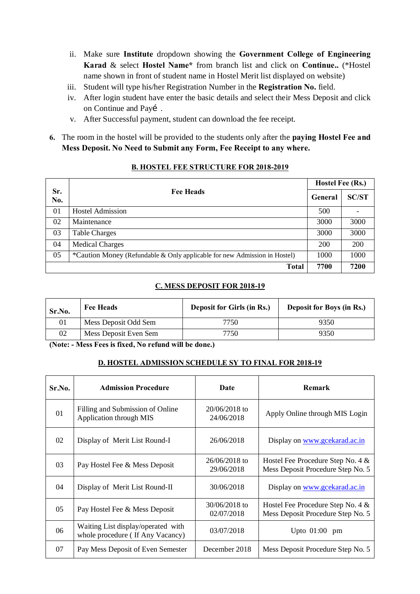- ii. Make sure **Institute** dropdown showing the **Government College of Engineering Karad** & select **Hostel Name\*** from branch list and click on **Continue..** (\*Hostel name shown in front of student name in Hostel Merit list displayed on website)
- iii. Student will type his/her Registration Number in the **Registration No.** field.
- iv. After login student have enter the basic details and select their Mess Deposit and click on Continue and Payí.
- v. After Successful payment, student can download the fee receipt.
- **6.** The room in the hostel will be provided to the students only after the **paying Hostel Fee and Mess Deposit. No Need to Submit any Form, Fee Receipt to any where.**

|            |                                                                           | Hostel Fee (Rs.) |              |
|------------|---------------------------------------------------------------------------|------------------|--------------|
| Sr.<br>No. | <b>Fee Heads</b>                                                          |                  | <b>SC/ST</b> |
| 01         | <b>Hostel Admission</b>                                                   | 500              |              |
| 02         | Maintenance                                                               | 3000             | 3000         |
| 03         | <b>Table Charges</b>                                                      | 3000             | 3000         |
| 04         | <b>Medical Charges</b>                                                    | 200              | <b>200</b>   |
| 05         | *Caution Money (Refundable & Only applicable for new Admission in Hostel) | 1000             | 1000         |
|            | <b>Total</b>                                                              | 7700             | 7200         |

#### **B. HOSTEL FEE STRUCTURE FOR 2018-2019**

### **C. MESS DEPOSIT FOR 2018-19**

| Sr.No. | <b>Fee Heads</b>      | <b>Deposit for Girls (in Rs.)</b> | <b>Deposit for Boys (in Rs.)</b> |
|--------|-----------------------|-----------------------------------|----------------------------------|
|        | Mess Deposit Odd Sem  | 7750                              | 9350                             |
| 02     | Mess Deposit Even Sem | 7750                              | 9350                             |

**(Note: - Mess Fees is fixed, No refund will be done.)**

### **D. HOSTEL ADMISSION SCHEDULE SY TO FINAL FOR 2018-19**

| Sr.No. | <b>Admission Procedure</b>                                             | Date                          | <b>Remark</b>                                                          |
|--------|------------------------------------------------------------------------|-------------------------------|------------------------------------------------------------------------|
| 01     | Filling and Submission of Online<br>Application through MIS            | $20/06/2018$ to<br>24/06/2018 | Apply Online through MIS Login                                         |
| 02     | Display of Merit List Round-I                                          | 26/06/2018                    | Display on www.gcekarad.ac.in                                          |
| 03     | Pay Hostel Fee & Mess Deposit                                          | $26/06/2018$ to<br>29/06/2018 | Hostel Fee Procedure Step No. 4 &<br>Mess Deposit Procedure Step No. 5 |
| 04     | Display of Merit List Round-II                                         | 30/06/2018                    | Display on www.gcekarad.ac.in                                          |
| 05     | Pay Hostel Fee & Mess Deposit                                          | 30/06/2018 to<br>02/07/2018   | Hostel Fee Procedure Step No. 4 &<br>Mess Deposit Procedure Step No. 5 |
| 06     | Waiting List display/operated with<br>whole procedure (If Any Vacancy) | 03/07/2018                    | Upto $01:00$ pm                                                        |
| 07     | Pay Mess Deposit of Even Semester                                      | December 2018                 | Mess Deposit Procedure Step No. 5                                      |